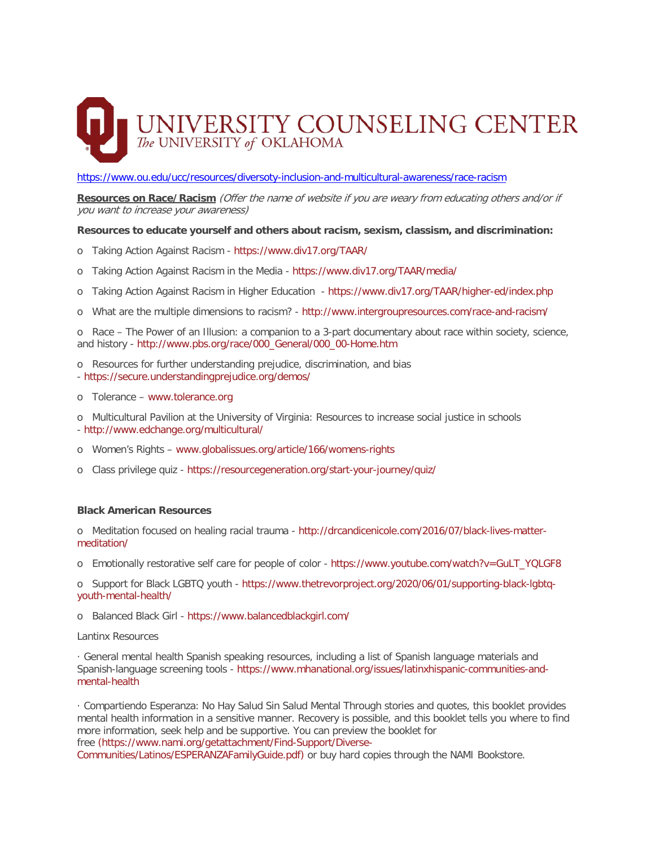## UNIVERSITY COUNSELING CENTER<br>The UNIVERSITY of OKLAHOMA

<https://www.ou.edu/ucc/resources/diversoty-inclusion-and-multicultural-awareness/race-racism>

**Resources on Race/Racism** (Offer the name of website if you are weary from educating others and/or if you want to increase your awareness)

**Resources to educate yourself and others about racism, sexism, classism, and discrimination:**

- o Taking Action Against Racism <https://www.div17.org/TAAR/>
- o Taking Action Against Racism in the Media <https://www.div17.org/TAAR/media/>
- o Taking Action Against Racism in Higher Education <https://www.div17.org/TAAR/higher-ed/index.php>
- o What are the multiple dimensions to racism? <http://www.intergroupresources.com/race-and-racism/>

o Race – The Power of an Illusion: a companion to a 3-part documentary about race within society, science, and history - [http://www.pbs.org/race/000\\_General/000\\_00-Home.htm](http://www.pbs.org/race/000_General/000_00-Home.htm)

o Resources for further understanding prejudice, discrimination, and bias - <https://secure.understandingprejudice.org/demos/>

- o Tolerance [www.tolerance.org](http://www.tolerance.org/)
- o Multicultural Pavilion at the University of Virginia: Resources to increase social justice in schools - <http://www.edchange.org/multicultural/>
- o Women's Rights [www.globalissues.org/article/166/womens-rights](http://www.globalissues.org/article/166/womens-rights)
- o Class privilege quiz <https://resourcegeneration.org/start-your-journey/quiz/>

## **Black American Resources**

o Meditation focused on healing racial trauma - [http://drcandicenicole.com/2016/07/black-lives-matter](http://drcandicenicole.com/2016/07/black-lives-matter-meditation/)[meditation/](http://drcandicenicole.com/2016/07/black-lives-matter-meditation/)

o Emotionally restorative self care for people of color - [https://www.youtube.com/watch?v=GuLT\\_YQLGF8](https://www.youtube.com/watch?v=GuLT_YQLGF8)

o Support for Black LGBTQ youth - [https://www.thetrevorproject.org/2020/06/01/supporting-black-lgbtq](https://www.thetrevorproject.org/2020/06/01/supporting-black-lgbtq-youth-mental-health/)[youth-mental-health/](https://www.thetrevorproject.org/2020/06/01/supporting-black-lgbtq-youth-mental-health/)

o Balanced Black Girl - <https://www.balancedblackgirl.com/>

Lantinx Resources

· General mental health Spanish speaking resources, including a list of Spanish language materials and Spanish-language screening tools - [https://www.mhanational.org/issues/latinxhispanic-communities-and](https://www.mhanational.org/issues/latinxhispanic-communities-and-mental-health)[mental-health](https://www.mhanational.org/issues/latinxhispanic-communities-and-mental-health)

· Compartiendo Esperanza: No Hay Salud Sin Salud Mental Through stories and quotes, this booklet provides mental health information in a sensitive manner. Recovery is possible, and this booklet tells you where to find more information, seek help and be supportive. You can preview the booklet for free [\(https://www.nami.org/getattachment/Find-Support/Diverse-](https://www.nami.org/getattachment/Find-Support/Diverse-Communities/Latinos/ESPERANZAFamilyGuide.pdf)[Communities/Latinos/ESPERANZAFamilyGuide.pdf\)](https://www.nami.org/getattachment/Find-Support/Diverse-Communities/Latinos/ESPERANZAFamilyGuide.pdf) or buy hard copies through the NAMI Bookstore.